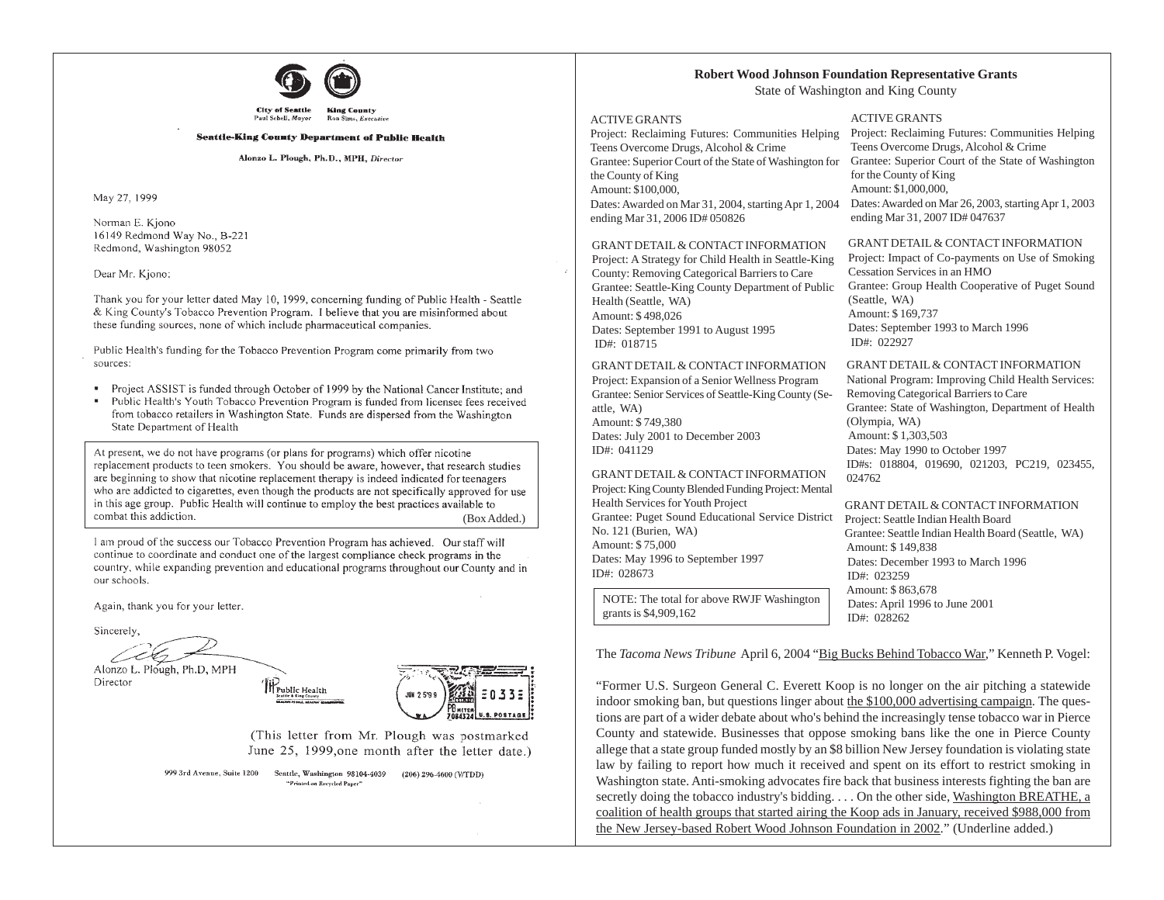

#### **Seattle-King County Department of Public Health**

Alonzo L. Plough, Ph.D., MPH, Director

May 27, 1999

Norman E. Kjono 16149 Redmond Way No., B-221 Redmond, Washington 98052

Dear Mr. Kiono:

Thank you for your letter dated May 10, 1999, concerning funding of Public Health - Seattle & King County's Tobacco Prevention Program. I believe that you are misinformed about these funding sources, none of which include pharmaceutical companies.

Public Health's funding for the Tobacco Prevention Program come primarily from two sources:

- Project ASSIST is funded through October of 1999 by the National Cancer Institute; and
- Public Health's Youth Tobacco Prevention Program is funded from licensee fees received  $\blacksquare$ from tobacco retailers in Washington State. Funds are dispersed from the Washington State Department of Health

At present, we do not have programs (or plans for programs) which offer nicotine replacement products to teen smokers. You should be aware, however, that research studies are beginning to show that nicotine replacement therapy is indeed indicated for teenagers who are addicted to cigarettes, even though the products are not specifically approved for use in this age group. Public Health will continue to employ the best practices available to combat this addiction. (Box Added.)

1 am proud of the success our Tobacco Prevention Program has achieved. Our staff will continue to coordinate and conduct one of the largest compliance check programs in the country, while expanding prevention and educational programs throughout our County and in our schools.

Again, thank you for your letter.

Sincerely,

Alonzo L. Plough, Ph.D, MPH

Director



(This letter from Mr. Plough was postmarked June 25, 1999, one month after the letter date.)

E033E

**U.S. POSTAGE I** 

999 3rd Avenue, Suite 1200 Scattle, Washington 98104-4039 (206) 296-4600 (V/TDD) "Printed on Recycled Paper"

#### **Robert Wood Johnson Foundation Representative Grants**

State of Washington and King County

#### ACTIVE GRANTS

Project: Reclaiming Futures: Communities Helping Teens Overcome Drugs, Alcohol & Crime Grantee: Superior Court of the State of Washington for the County of King Amount: \$100,000, Dates: Awarded on Mar 31, 2004, starting Apr 1, 2004 ending Mar 31, 2006 ID# 050826

GRANT DETAIL & CONTACT INFORMATION

Project: A Strategy for Child Health in Seattle-King County: Removing Categorical Barriers to Care Grantee: Seattle-King County Department of Public Health (Seattle, WA) Amount: \$ 498,026 Dates: September 1991 to August 1995 ID#: 018715

GRANT DETAIL & CONTACT INFORMATION Project: Expansion of a Senior Wellness Program Grantee: Senior Services of Seattle-King County (Seattle, WA) Amount: \$ 749,380 Dates: July 2001 to December 2003 ID#: 041129

GRANT DETAIL & CONTACT INFORMATION Project: King County Blended Funding Project: Mental Health Services for Youth Project Grantee: Puget Sound Educational Service District No. 121 (Burien, WA) Amount: \$ 75,000 Dates: May 1996 to September 1997 ID#: 028673

NOTE: The total for above RWJF Washington grants is \$4,909,162

ACTIVE GRANTS

Project: Reclaiming Futures: Communities Helping Teens Overcome Drugs, Alcohol & Crime Grantee: Superior Court of the State of Washington for the County of King Amount: \$1,000,000, Dates: Awarded on Mar 26, 2003, starting Apr 1, 2003 ending Mar 31, 2007 ID# 047637

#### GRANT DETAIL & CONTACT INFORMATION

Project: Impact of Co-payments on Use of Smoking Cessation Services in an HMO Grantee: Group Health Cooperative of Puget Sound (Seattle, WA) Amount: \$ 169,737 Dates: September 1993 to March 1996 ID#: 022927

GRANT DETAIL & CONTACT INFORMATION

National Program: Improving Child Health Services: Removing Categorical Barriers to Care Grantee: State of Washington, Department of Health (Olympia, WA) Amount: \$ 1,303,503 Dates: May 1990 to October 1997 ID#s: 018804, 019690, 021203, PC219, 023455, 024762

GRANT DETAIL & CONTACT INFORMATION Project: Seattle Indian Health Board Grantee: Seattle Indian Health Board (Seattle, WA) Amount: \$ 149,838 Dates: December 1993 to March 1996 ID#: 023259 Amount: \$ 863,678 Dates: April 1996 to June 2001 ID#: 028262

The *Tacoma News Tribune* April 6, 2004 "Big Bucks Behind Tobacco War," Kenneth P. Vogel:

"Former U.S. Surgeon General C. Everett Koop is no longer on the air pitching a statewide indoor smoking ban, but questions linger about the \$100,000 advertising campaign. The questions are part of a wider debate about who's behind the increasingly tense tobacco war in Pierce County and statewide. Businesses that oppose smoking bans like the one in Pierce County allege that a state group funded mostly by an \$8 billion New Jersey foundation is violating state law by failing to report how much it received and spent on its effort to restrict smoking in Washington state. Anti-smoking advocates fire back that business interests fighting the ban are secretly doing the tobacco industry's bidding. . . . On the other side, Washington BREATHE, a coalition of health groups that started airing the Koop ads in January, received \$988,000 from the New Jersey-based Robert Wood Johnson Foundation in 2002." (Underline added.)